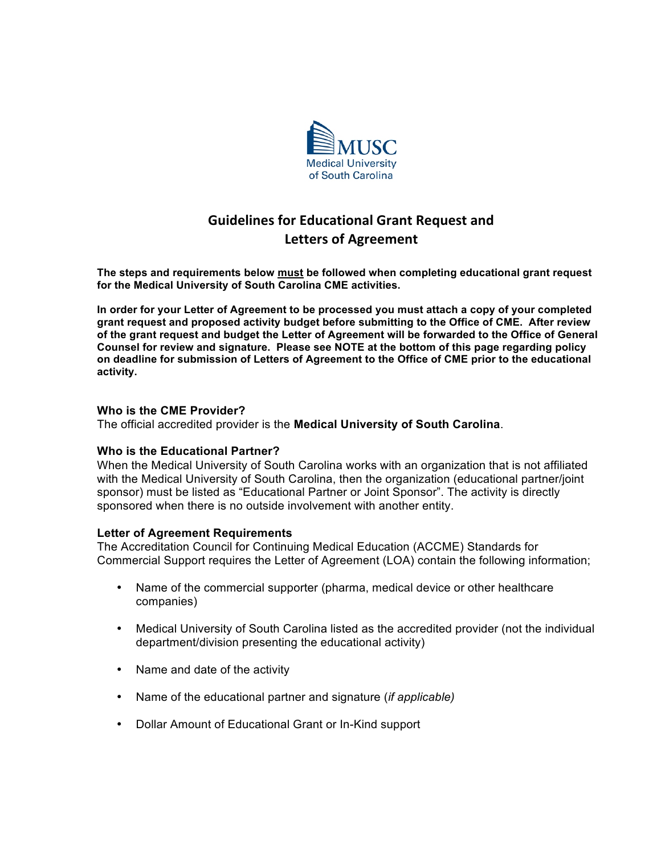

# **Guidelines
for
Educational
Grant
Request
and Letters
of
Agreement**

**The steps and requirements below must be followed when completing educational grant request for the Medical University of South Carolina CME activities.** 

**In order for your Letter of Agreement to be processed you must attach a copy of your completed grant request and proposed activity budget before submitting to the Office of CME. After review of the grant request and budget the Letter of Agreement will be forwarded to the Office of General Counsel for review and signature. Please see NOTE at the bottom of this page regarding policy on deadline for submission of Letters of Agreement to the Office of CME prior to the educational activity.** 

#### **Who is the CME Provider?**

The official accredited provider is the **Medical University of South Carolina**.

#### **Who is the Educational Partner?**

When the Medical University of South Carolina works with an organization that is not affiliated with the Medical University of South Carolina, then the organization (educational partner/joint sponsor) must be listed as "Educational Partner or Joint Sponsor". The activity is directly sponsored when there is no outside involvement with another entity.

#### **Letter of Agreement Requirements**

The Accreditation Council for Continuing Medical Education (ACCME) Standards for Commercial Support requires the Letter of Agreement (LOA) contain the following information;

- Name of the commercial supporter (pharma, medical device or other healthcare companies)
- Medical University of South Carolina listed as the accredited provider (not the individual department/division presenting the educational activity)
- Name and date of the activity
- Name of the educational partner and signature (*if applicable)*
- Dollar Amount of Educational Grant or In-Kind support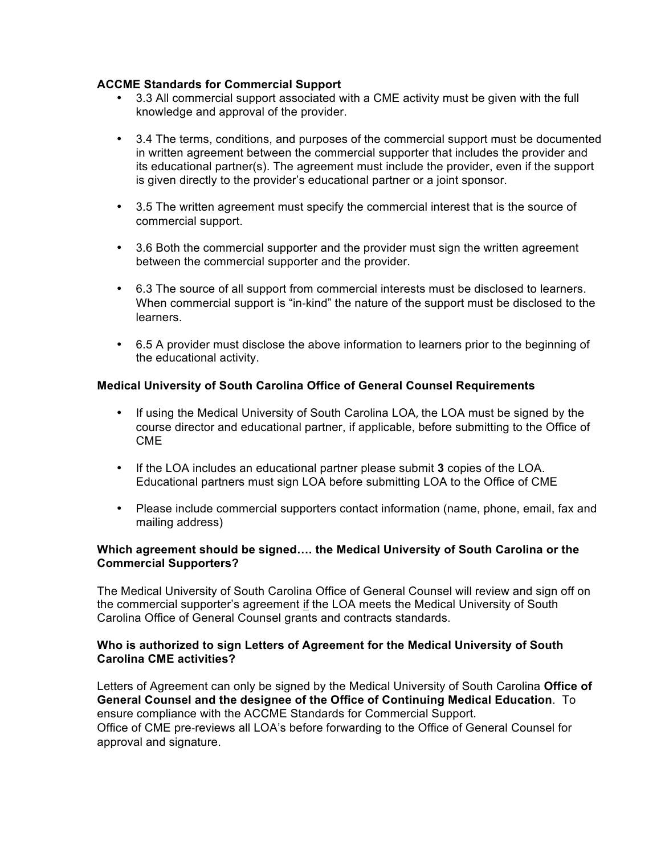## **ACCME Standards for Commercial Support**

- 3.3 All commercial support associated with a CME activity must be given with the full knowledge and approval of the provider.
- 3.4 The terms, conditions, and purposes of the commercial support must be documented in written agreement between the commercial supporter that includes the provider and its educational partner(s). The agreement must include the provider, even if the support is given directly to the provider's educational partner or a joint sponsor.
- 3.5 The written agreement must specify the commercial interest that is the source of commercial support.
- 3.6 Both the commercial supporter and the provider must sign the written agreement between the commercial supporter and the provider.
- 6.3 The source of all support from commercial interests must be disclosed to learners. When commercial support is "in-kind" the nature of the support must be disclosed to the learners.
- 6.5 A provider must disclose the above information to learners prior to the beginning of the educational activity.

## **Medical University of South Carolina Office of General Counsel Requirements**

- If using the Medical University of South Carolina LOA, the LOA must be signed by the course director and educational partner, if applicable, before submitting to the Office of CME
- If the LOA includes an educational partner please submit **3** copies of the LOA. Educational partners must sign LOA before submitting LOA to the Office of CME
- Please include commercial supporters contact information (name, phone, email, fax and mailing address)

## **Which agreement should be signed…. the Medical University of South Carolina or the Commercial Supporters?**

The Medical University of South Carolina Office of General Counsel will review and sign off on the commercial supporter's agreement if the LOA meets the Medical University of South Carolina Office of General Counsel grants and contracts standards.

## **Who is authorized to sign Letters of Agreement for the Medical University of South Carolina CME activities?**

Letters of Agreement can only be signed by the Medical University of South Carolina **Office of General Counsel and the designee of the Office of Continuing Medical Education**. To ensure compliance with the ACCME Standards for Commercial Support. Office of CME pre‐reviews all LOA's before forwarding to the Office of General Counsel for approval and signature.